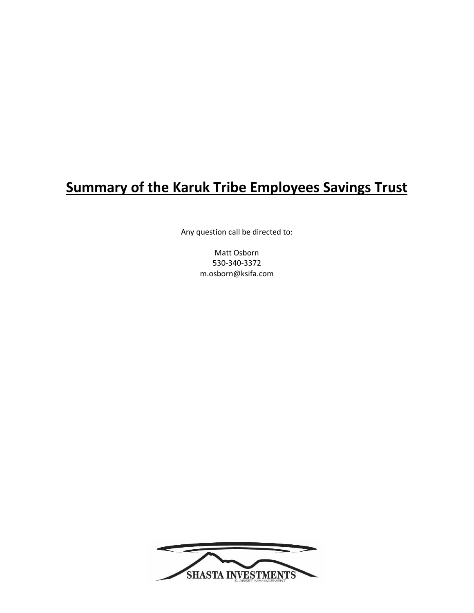# **Summary of the Karuk Tribe Employees Savings Trust**

Any question call be directed to:

Matt Osborn 530-340-3372 m.osborn@ksifa.com

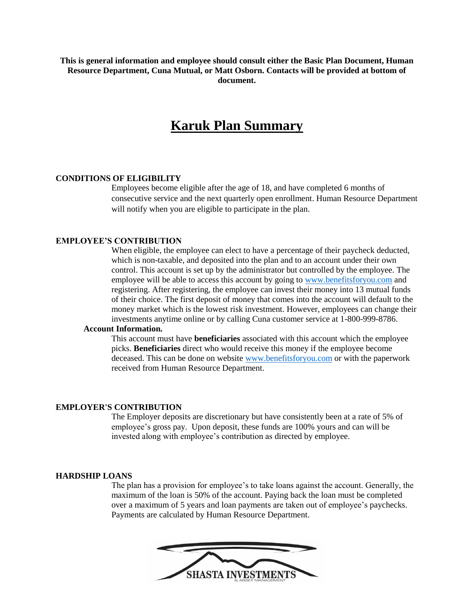**This is general information and employee should consult either the Basic Plan Document, Human Resource Department, Cuna Mutual, or Matt Osborn. Contacts will be provided at bottom of document.** 

### **Karuk Plan Summary**

#### **CONDITIONS OF ELIGIBILITY**

Employees become eligible after the age of 18, and have completed 6 months of consecutive service and the next quarterly open enrollment. Human Resource Department will notify when you are eligible to participate in the plan.

#### **EMPLOYEE'S CONTRIBUTION**

When eligible, the employee can elect to have a percentage of their paycheck deducted, which is non-taxable, and deposited into the plan and to an account under their own control. This account is set up by the administrator but controlled by the employee. The employee will be able to access this account by going to [www.benefitsforyou.com](http://www.benefitsforyou.com/) and registering. After registering, the employee can invest their money into 13 mutual funds of their choice. The first deposit of money that comes into the account will default to the money market which is the lowest risk investment. However, employees can change their investments anytime online or by calling Cuna customer service at 1-800-999-8786.

#### **Account Information.**

This account must have **beneficiaries** associated with this account which the employee picks. **Beneficiaries** direct who would receive this money if the employee become deceased. This can be done on website [www.benefitsforyou.com](http://www.benefitsforyou.com/) or with the paperwork received from Human Resource Department.

#### **EMPLOYER'S CONTRIBUTION**

The Employer deposits are discretionary but have consistently been at a rate of 5% of employee's gross pay. Upon deposit, these funds are 100% yours and can will be invested along with employee's contribution as directed by employee.

#### **HARDSHIP LOANS**

The plan has a provision for employee's to take loans against the account. Generally, the maximum of the loan is 50% of the account. Paying back the loan must be completed over a maximum of 5 years and loan payments are taken out of employee's paychecks. Payments are calculated by Human Resource Department.